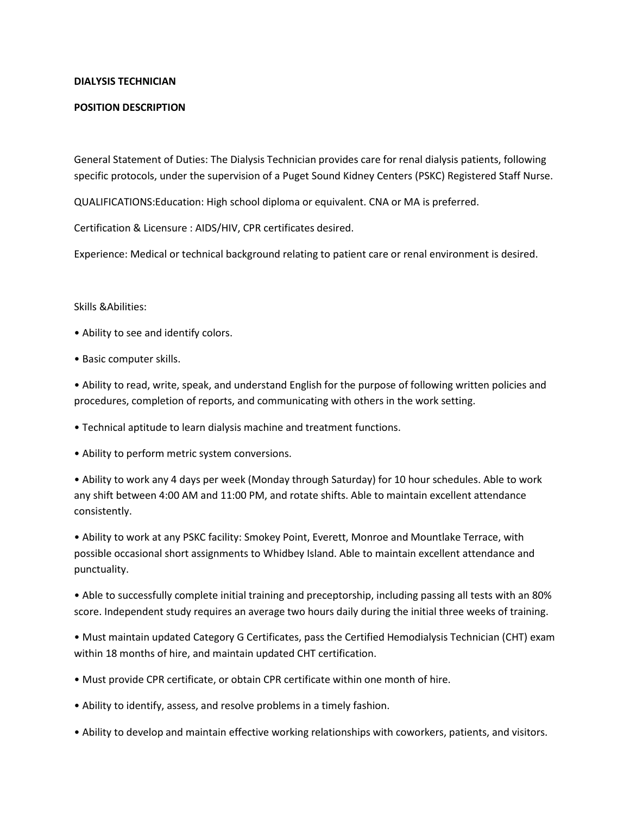## **DIALYSIS TECHNICIAN**

## **POSITION DESCRIPTION**

General Statement of Duties: The Dialysis Technician provides care for renal dialysis patients, following specific protocols, under the supervision of a Puget Sound Kidney Centers (PSKC) Registered Staff Nurse.

QUALIFICATIONS:Education: High school diploma or equivalent. CNA or MA is preferred.

Certification & Licensure : AIDS/HIV, CPR certificates desired.

Experience: Medical or technical background relating to patient care or renal environment is desired.

## Skills &Abilities:

- Ability to see and identify colors.
- Basic computer skills.

• Ability to read, write, speak, and understand English for the purpose of following written policies and procedures, completion of reports, and communicating with others in the work setting.

- Technical aptitude to learn dialysis machine and treatment functions.
- Ability to perform metric system conversions.

• Ability to work any 4 days per week (Monday through Saturday) for 10 hour schedules. Able to work any shift between 4:00 AM and 11:00 PM, and rotate shifts. Able to maintain excellent attendance consistently.

• Ability to work at any PSKC facility: Smokey Point, Everett, Monroe and Mountlake Terrace, with possible occasional short assignments to Whidbey Island. Able to maintain excellent attendance and punctuality.

• Able to successfully complete initial training and preceptorship, including passing all tests with an 80% score. Independent study requires an average two hours daily during the initial three weeks of training.

• Must maintain updated Category G Certificates, pass the Certified Hemodialysis Technician (CHT) exam within 18 months of hire, and maintain updated CHT certification.

- Must provide CPR certificate, or obtain CPR certificate within one month of hire.
- Ability to identify, assess, and resolve problems in a timely fashion.
- Ability to develop and maintain effective working relationships with coworkers, patients, and visitors.